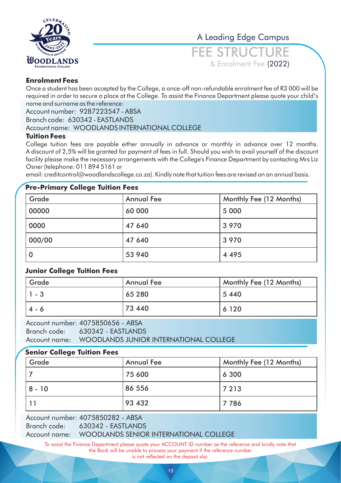

A Leading Edge Campus

FEE STRUCTURE & Enrolment Fee (2022)

# **Enrolment Fees**

Once a student has been accepted by the College, a once-off non-refundable enrolment fee of R3 000 will be required in order to secure a place at the College. To assist the Finance Department please quote your child's name and surname as the reference:

Account number: 9287223547 - ABSA

Branch code: 630342 - EASTLANDS

### Account name: WOODLANDS INTERNATIONAL COLLEGE

### **Tuition Fees**

College tuition fees are payable either annually in advance or monthly in advance over 12 months. A discount of 2,5% will be granted for payment of fees in full. Should you wish to avail yourself of the discount facility please make the necessary arrangements with the College's Finance Department by contacting Mrs Liz Osner (telephone: 011 894 5161 or

email: creditcontrol@woodlandscollege.co.za). Kindly note that tuition fees are revised on an annual basis.

# **Pre-Primary College Tuition Fees**

| Grade  | <b>Annual Fee</b> | Monthly Fee (12 Months) |
|--------|-------------------|-------------------------|
| 00000  | 60 000            | 5 0 0 0                 |
| 0000   | 47 640            | 3 9 7 0                 |
| 000/00 | 47 640            | 3 9 7 0                 |
|        | 53 940            | 4 4 9 5                 |

### **Junior College Tuition Fees**

| Grade   | <b>Annual Fee</b> | <b>Monthly Fee (12 Months)</b> |
|---------|-------------------|--------------------------------|
| 1 - 3   | 65 280            | 5440                           |
| $4 - 6$ | 73 440            | 6 1 2 0                        |

Account number: 4075850656 - ABSA Branch code: Account name: WOODLANDS JUNIOR INTERNATIONAL COLLEGE 630342 - EASTLANDS

# **Senior College Tuition Fees**

| Grade  | <b>Annual Fee</b> | Monthly Fee (12 Months) |
|--------|-------------------|-------------------------|
|        | 75 600            | 6 300                   |
| 8 - 10 | 86 556            | 7 2 1 3                 |
|        | 93 432            | 7786                    |

Account number: 4075850282 - ABSA Branch code: 630342 - EASTLANDS

Account name: WOODLANDS SENIOR INTERNATIONAL COLLEGE

To assist the Finance Department please quote your ACCOUNT ID number as the reference and kindly note that the Bank will be unable to process your payment if the reference number is not reflected on the deposit slip.